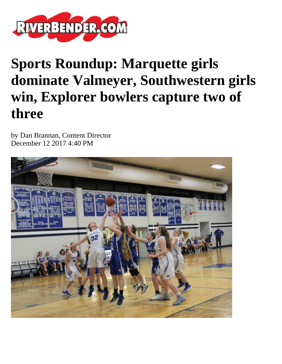

## **Sports Roundup: Marquette girls dominate Valmeyer, Southwestern girls win, Explorer bowlers capture two of three**

by Dan Brannan, Content Director December 12 2017 4:40 PM

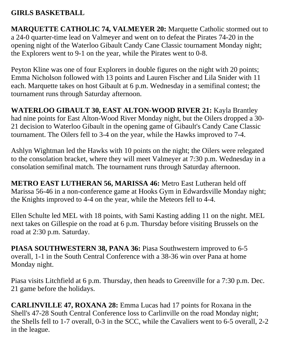## **GIRLS BASKETBALL**

**MARQUETTE CATHOLIC 74, VALMEYER 20:** Marquette Catholic stormed out to a 24-0 quarter-time lead on Valmeyer and went on to defeat the Pirates 74-20 in the opening night of the Waterloo Gibault Candy Cane Classic tournament Monday night; the Explorers went to 9-1 on the year, while the Pirates went to 0-8.

Peyton Kline was one of four Explorers in double figures on the night with 20 points; Emma Nicholson followed with 13 points and Lauren Fischer and Lila Snider with 11 each. Marquette takes on host Gibault at 6 p.m. Wednesday in a semifinal contest; the tournament runs through Saturday afternoon.

**WATERLOO GIBAULT 30, EAST ALTON-WOOD RIVER 21:** Kayla Brantley had nine points for East Alton-Wood River Monday night, but the Oilers dropped a 30- 21 decision to Waterloo Gibault in the opening game of Gibault's Candy Cane Classic tournament. The Oilers fell to 3-4 on the year, while the Hawks improved to 7-4.

Ashlyn Wightman led the Hawks with 10 points on the night; the Oilers were relegated to the consolation bracket, where they will meet Valmeyer at 7:30 p.m. Wednesday in a consolation semifinal match. The tournament runs through Saturday afternoon.

**METRO EAST LUTHERAN 56, MARISSA 46:** Metro East Lutheran held off Marissa 56-46 in a non-conference game at Hooks Gym in Edwardsville Monday night; the Knights improved to 4-4 on the year, while the Meteors fell to 4-4.

Ellen Schulte led MEL with 18 points, with Sami Kasting adding 11 on the night. MEL next takes on Gillespie on the road at 6 p.m. Thursday before visiting Brussels on the road at 2:30 p.m. Saturday.

**PIASA SOUTHWESTERN 38, PANA 36:** Piasa Southwestern improved to 6-5 overall, 1-1 in the South Central Conference with a 38-36 win over Pana at home Monday night.

Piasa visits Litchfield at 6 p.m. Thursday, then heads to Greenville for a 7:30 p.m. Dec. 21 game before the holidays.

**CARLINVILLE 47, ROXANA 28:** Emma Lucas had 17 points for Roxana in the Shell's 47-28 South Central Conference loss to Carlinville on the road Monday night; the Shells fell to 1-7 overall, 0-3 in the SCC, while the Cavaliers went to 6-5 overall, 2-2 in the league.